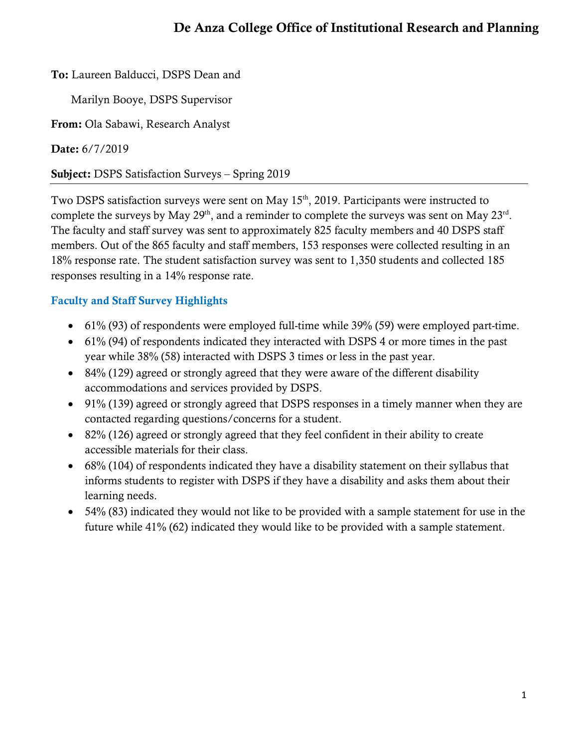# De Anza College Office of Institutional Research and Planning

To: Laureen Balducci, DSPS Dean and

Marilyn Booye, DSPS Supervisor

From: Ola Sabawi, Research Analyst

Date: 6/7/2019

Subject: DSPS Satisfaction Surveys – Spring 2019

Two DSPS satisfaction surveys were sent on May 15<sup>th</sup>, 2019. Participants were instructed to complete the surveys by May  $29<sup>th</sup>$ , and a reminder to complete the surveys was sent on May  $23<sup>rd</sup>$ . The faculty and staff survey was sent to approximately 825 faculty members and 40 DSPS staff members. Out of the 865 faculty and staff members, 153 responses were collected resulting in an 18% response rate. The student satisfaction survey was sent to 1,350 students and collected 185 responses resulting in a 14% response rate.

## Faculty and Staff Survey Highlights

- 61% (93) of respondents were employed full-time while 39% (59) were employed part-time.
- 61% (94) of respondents indicated they interacted with DSPS 4 or more times in the past year while 38% (58) interacted with DSPS 3 times or less in the past year.
- 84% (129) agreed or strongly agreed that they were aware of the different disability accommodations and services provided by DSPS.
- 91% (139) agreed or strongly agreed that DSPS responses in a timely manner when they are contacted regarding questions/concerns for a student.
- 82% (126) agreed or strongly agreed that they feel confident in their ability to create accessible materials for their class.
- 68% (104) of respondents indicated they have a disability statement on their syllabus that informs students to register with DSPS if they have a disability and asks them about their learning needs.
- 54% (83) indicated they would not like to be provided with a sample statement for use in the future while 41% (62) indicated they would like to be provided with a sample statement.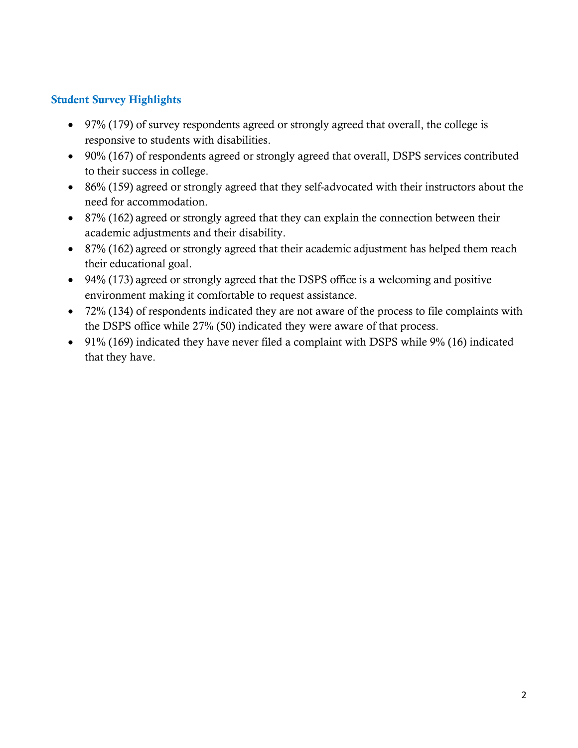## Student Survey Highlights

- 97% (179) of survey respondents agreed or strongly agreed that overall, the college is responsive to students with disabilities.
- 90% (167) of respondents agreed or strongly agreed that overall, DSPS services contributed to their success in college.
- 86% (159) agreed or strongly agreed that they self-advocated with their instructors about the need for accommodation.
- 87% (162) agreed or strongly agreed that they can explain the connection between their academic adjustments and their disability.
- 87% (162) agreed or strongly agreed that their academic adjustment has helped them reach their educational goal.
- 94% (173) agreed or strongly agreed that the DSPS office is a welcoming and positive environment making it comfortable to request assistance.
- 72% (134) of respondents indicated they are not aware of the process to file complaints with the DSPS office while 27% (50) indicated they were aware of that process.
- 91% (169) indicated they have never filed a complaint with DSPS while 9% (16) indicated that they have.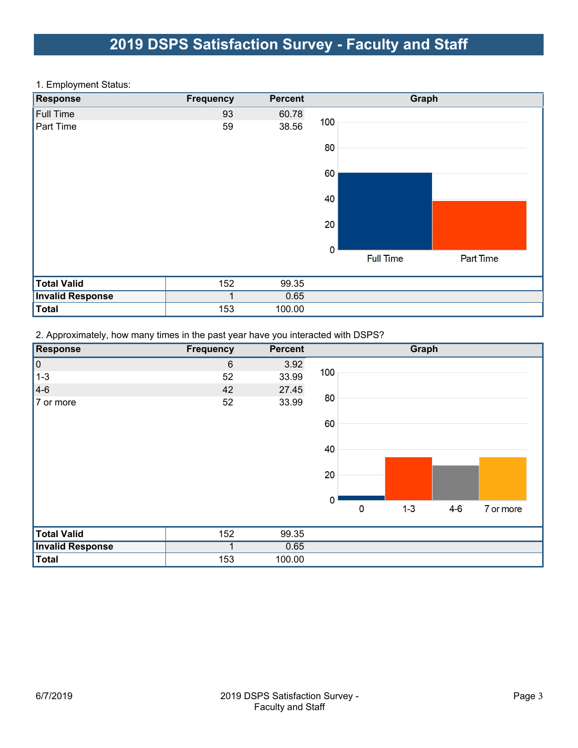# 2019 DSPS Satisfaction Survey - Faculty and Staff

#### 1. Employment Status:

| <b>Response</b>         | <b>Frequency</b> | <b>Percent</b> |                  | Graph     |
|-------------------------|------------------|----------------|------------------|-----------|
| <b>Full Time</b>        | 93               | 60.78          |                  |           |
| Part Time               | 59               | 38.56          | 100              |           |
|                         |                  |                | 80               |           |
|                         |                  |                | 60               |           |
|                         |                  |                | 40               |           |
|                         |                  |                | 20               |           |
|                         |                  |                | $\bf{0}$         |           |
|                         |                  |                | <b>Full Time</b> | Part Time |
| <b>Total Valid</b>      | 152              | 99.35          |                  |           |
| <b>Invalid Response</b> |                  | 0.65           |                  |           |
| <b>Total</b>            | 153              | 100.00         |                  |           |

2. Approximately, how many times in the past year have you interacted with DSPS?

| <b>Response</b>         | <b>Frequency</b> | <b>Percent</b> | Graph                                        |
|-------------------------|------------------|----------------|----------------------------------------------|
| $\vert 0 \vert$         | $6\,$            | 3.92           |                                              |
| $1 - 3$                 | 52               | 33.99          | 100                                          |
| $ 4-6 $                 | 42               | 27.45          |                                              |
| 7 or more               | 52               | 33.99          | 80                                           |
|                         |                  |                | 60                                           |
|                         |                  |                | 40                                           |
|                         |                  |                | 20                                           |
|                         |                  |                | $\mathbf 0$                                  |
|                         |                  |                | $4-6$<br>$1 - 3$<br>$\mathbf 0$<br>7 or more |
| <b>Total Valid</b>      | 152              | 99.35          |                                              |
| <b>Invalid Response</b> |                  | 0.65           |                                              |
| Total                   | 153              | 100.00         |                                              |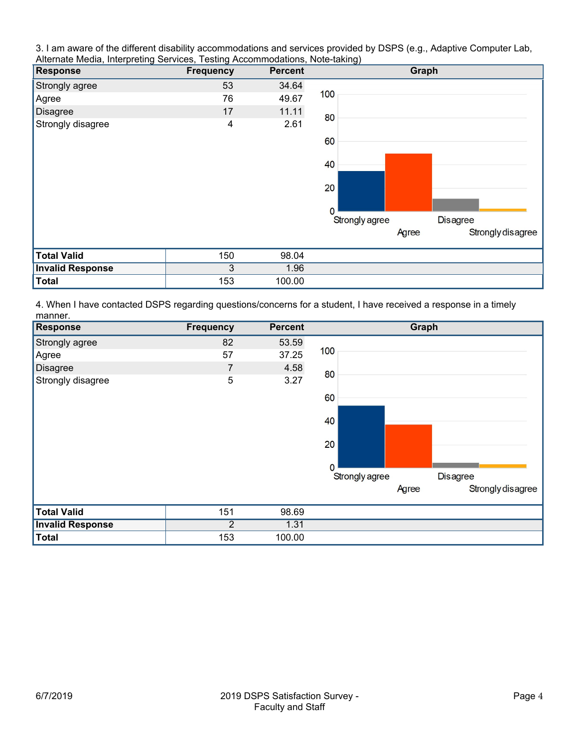3. I am aware of the different disability accommodations and services provided by DSPS (e.g., Adaptive Computer Lab, Alternate Media, Interpreting Services, Testing Accommodations, Note-taking)

| <b>Response</b>         | <b>Frequency</b> | <b>Percent</b> | Graph                             |
|-------------------------|------------------|----------------|-----------------------------------|
| Strongly agree          | 53               | 34.64          |                                   |
| Agree                   | 76               | 49.67          | 100                               |
| <b>Disagree</b>         | 17               | 11.11          | 80                                |
| Strongly disagree       | 4                | 2.61           |                                   |
|                         |                  |                | 60                                |
|                         |                  |                | 40                                |
|                         |                  |                | 20                                |
|                         |                  |                | $\Omega$                          |
|                         |                  |                | Strongly agree<br><b>Disagree</b> |
|                         |                  |                | Strongly disagree<br>Agree        |
| <b>Total Valid</b>      | 150              | 98.04          |                                   |
| <b>Invalid Response</b> | 3                | 1.96           |                                   |
| <b>Total</b>            | 153              | 100.00         |                                   |

4. When I have contacted DSPS regarding questions/concerns for a student, I have received a response in a timely manner.

| <b>Response</b>         | <b>Frequency</b> | <b>Percent</b> | Graph                             |
|-------------------------|------------------|----------------|-----------------------------------|
| Strongly agree          | 82               | 53.59          |                                   |
| Agree                   | 57               | 37.25          | 100                               |
| Disagree                | 7                | 4.58           | 80                                |
| Strongly disagree       | 5                | 3.27           |                                   |
|                         |                  |                | 60                                |
|                         |                  |                | 40                                |
|                         |                  |                | 20                                |
|                         |                  |                | $\Omega$                          |
|                         |                  |                | Strongly agree<br><b>Disagree</b> |
|                         |                  |                | Strongly disagree<br>Agree        |
| <b>Total Valid</b>      | 151              | 98.69          |                                   |
| <b>Invalid Response</b> | 2                | 1.31           |                                   |
| <b>Total</b>            | 153              | 100.00         |                                   |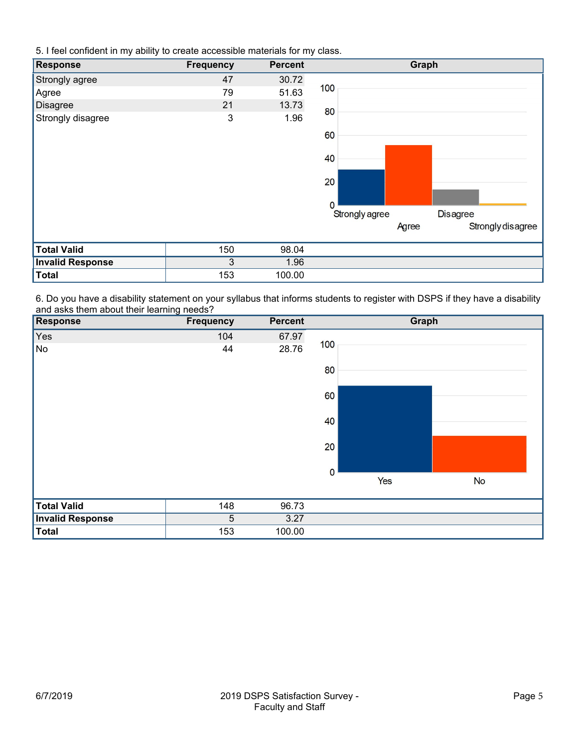5. I feel confident in my ability to create accessible materials for my class.

| <b>Response</b>         | <b>Frequency</b> | <b>Percent</b> | Graph                             |
|-------------------------|------------------|----------------|-----------------------------------|
| Strongly agree          | 47               | 30.72          |                                   |
| Agree                   | 79               | 51.63          | 100                               |
| <b>Disagree</b>         | 21               | 13.73          | 80                                |
| Strongly disagree       | 3                | 1.96           |                                   |
|                         |                  |                | 60                                |
|                         |                  |                | 40                                |
|                         |                  |                | 20                                |
|                         |                  |                | $\mathbf{0}$                      |
|                         |                  |                | Strongly agree<br><b>Disagree</b> |
|                         |                  |                | Strongly disagree<br>Agree        |
| <b>Total Valid</b>      | 150              | 98.04          |                                   |
| <b>Invalid Response</b> | 3                | 1.96           |                                   |
| <b>Total</b>            | 153              | 100.00         |                                   |

6. Do you have a disability statement on your syllabus that informs students to register with DSPS if they have a disability and asks them about their learning needs?

| Response                | <b>Frequency</b> | <b>Percent</b> |          | Graph     |
|-------------------------|------------------|----------------|----------|-----------|
| Yes                     | 104              | 67.97          |          |           |
| ∥No                     | 44               | 28.76          | 100      |           |
|                         |                  |                | 80       |           |
|                         |                  |                | 60       |           |
|                         |                  |                | 40       |           |
|                         |                  |                | 20       |           |
|                         |                  |                | $\bf{0}$ |           |
|                         |                  |                | Yes      | <b>No</b> |
| <b>Total Valid</b>      | 148              | 96.73          |          |           |
| <b>Invalid Response</b> | 5                | 3.27           |          |           |
| Total                   | 153              | 100.00         |          |           |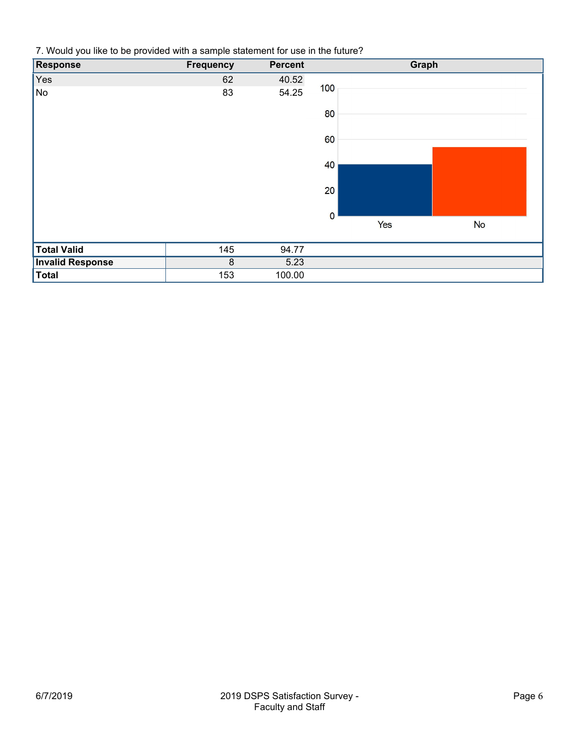7. Would you like to be provided with a sample statement for use in the future?

| <b>Response</b>         | <b>Frequency</b> | <b>Percent</b> |             | Graph |           |  |
|-------------------------|------------------|----------------|-------------|-------|-----------|--|
| Yes                     | 62               | 40.52          |             |       |           |  |
| ∥No                     | 83               | 54.25          | 100         |       |           |  |
|                         |                  |                | 80          |       |           |  |
|                         |                  |                | 60          |       |           |  |
|                         |                  |                | 40          |       |           |  |
|                         |                  |                | 20          |       |           |  |
|                         |                  |                | $\mathbf 0$ |       |           |  |
|                         |                  |                |             | Yes   | <b>No</b> |  |
| <b>Total Valid</b>      | 145              | 94.77          |             |       |           |  |
| <b>Invalid Response</b> | 8                | 5.23           |             |       |           |  |
| Total                   | 153              | 100.00         |             |       |           |  |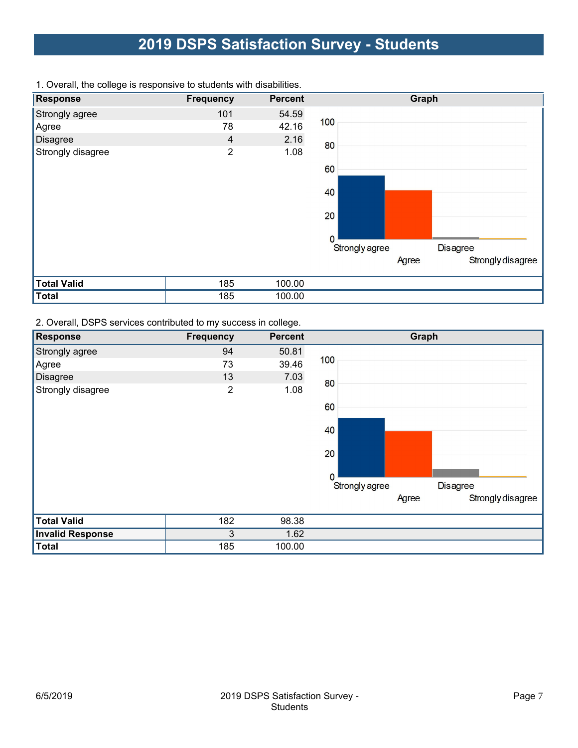# 2019 DSPS Satisfaction Survey - Students

| <b>Response</b>    | <b>Frequency</b> | <b>Percent</b> | Graph                             |
|--------------------|------------------|----------------|-----------------------------------|
| Strongly agree     | 101              | 54.59          |                                   |
| Agree              | 78               | 42.16          | 100                               |
| Disagree           | 4                | 2.16           | 80                                |
| Strongly disagree  | $\overline{2}$   | 1.08           |                                   |
|                    |                  |                | 60                                |
|                    |                  |                | 40                                |
|                    |                  |                | 20                                |
|                    |                  |                | $\Omega$                          |
|                    |                  |                | Strongly agree<br><b>Disagree</b> |
|                    |                  |                | Strongly disagree<br>Agree        |
| <b>Total Valid</b> | 185              | 100.00         |                                   |
| <b>Total</b>       | 185              | 100.00         |                                   |

1. Overall, the college is responsive to students with disabilities.

2. Overall, DSPS services contributed to my success in college.

| <b>Response</b>         | <b>Frequency</b> | <b>Percent</b> | Graph                             |
|-------------------------|------------------|----------------|-----------------------------------|
| Strongly agree          | 94               | 50.81          |                                   |
| Agree                   | 73               | 39.46          | 100                               |
| Disagree                | 13               | 7.03           | 80                                |
| Strongly disagree       | $\overline{2}$   | 1.08           |                                   |
|                         |                  |                | 60                                |
|                         |                  |                | 40                                |
|                         |                  |                | 20                                |
|                         |                  |                | $\mathbf 0$                       |
|                         |                  |                | Strongly agree<br><b>Disagree</b> |
|                         |                  |                | Strongly disagree<br>Agree        |
| <b>Total Valid</b>      | 182              | 98.38          |                                   |
| <b>Invalid Response</b> | 3                | 1.62           |                                   |
| <b>Total</b>            | 185              | 100.00         |                                   |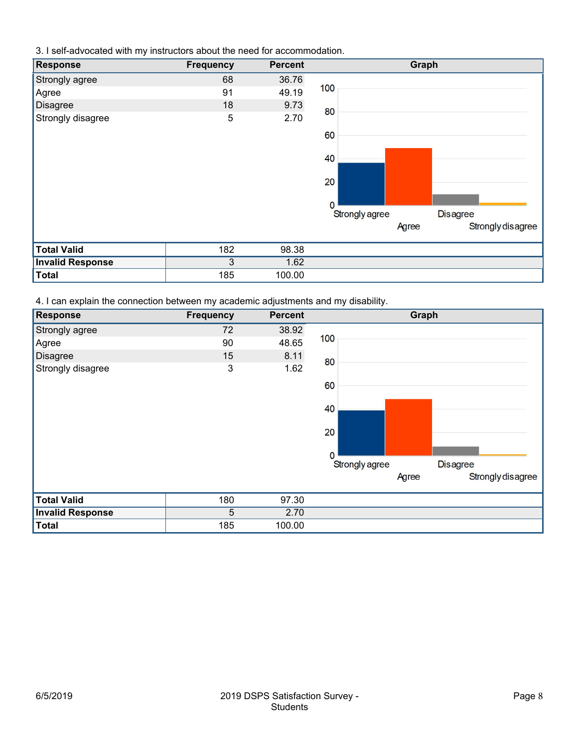3. I self-advocated with my instructors about the need for accommodation.

| <b>Response</b>         | <b>Frequency</b> | <b>Percent</b> | Graph                             |
|-------------------------|------------------|----------------|-----------------------------------|
| Strongly agree          | 68               | 36.76          |                                   |
| Agree                   | 91               | 49.19          | 100                               |
| <b>Disagree</b>         | 18               | 9.73           | 80                                |
| Strongly disagree       | 5                | 2.70           |                                   |
|                         |                  |                | 60                                |
|                         |                  |                | 40                                |
|                         |                  |                | 20                                |
|                         |                  |                | $\mathbf 0$                       |
|                         |                  |                | Strongly agree<br><b>Disagree</b> |
|                         |                  |                | Strongly disagree<br>Agree        |
| <b>Total Valid</b>      | 182              | 98.38          |                                   |
| <b>Invalid Response</b> | 3                | 1.62           |                                   |
| <b>Total</b>            | 185              | 100.00         |                                   |

4. I can explain the connection between my academic adjustments and my disability.

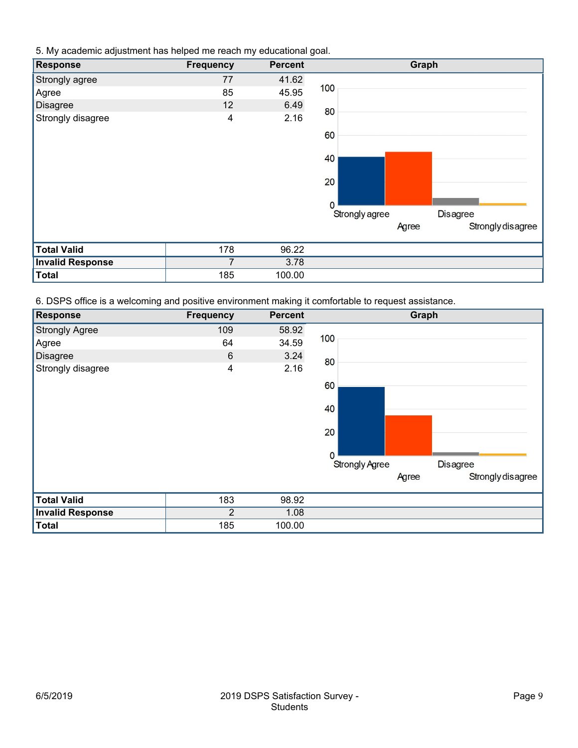5. My academic adjustment has helped me reach my educational goal.

| Response                | <b>Frequency</b> | <b>Percent</b> | Graph                             |
|-------------------------|------------------|----------------|-----------------------------------|
| Strongly agree          | 77               | 41.62          |                                   |
| Agree                   | 85               | 45.95          | 100                               |
| Disagree                | 12               | 6.49           | 80                                |
| Strongly disagree       | 4                | 2.16           |                                   |
|                         |                  |                | 60                                |
|                         |                  |                | 40                                |
|                         |                  |                | 20                                |
|                         |                  |                | $\mathbf 0$                       |
|                         |                  |                | Strongly agree<br><b>Disagree</b> |
|                         |                  |                | Strongly disagree<br>Agree        |
| <b>Total Valid</b>      | 178              | 96.22          |                                   |
| <b>Invalid Response</b> | 7                | 3.78           |                                   |
| <b>Total</b>            | 185              | 100.00         |                                   |

6. DSPS office is a welcoming and positive environment making it comfortable to request assistance.

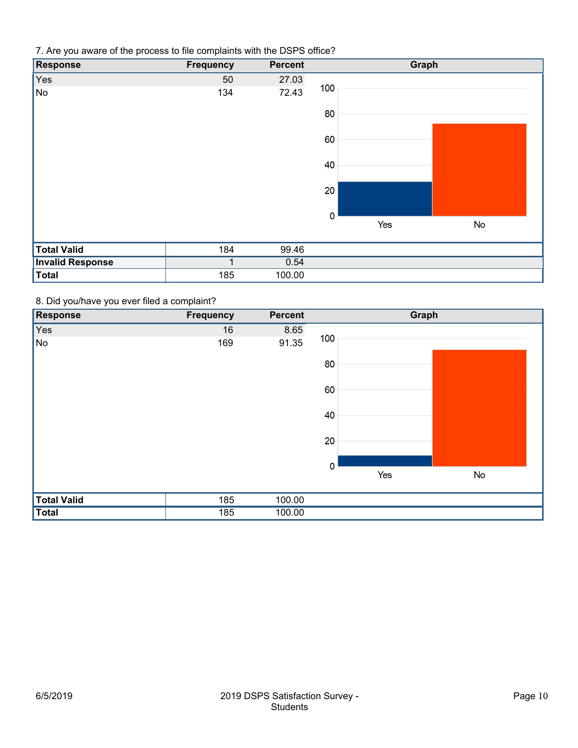7. Are you aware of the process to file complaints with the DSPS office?

| Response                | <b>Frequency</b> | <b>Percent</b> |             | Graph |           |  |
|-------------------------|------------------|----------------|-------------|-------|-----------|--|
| Yes                     | 50               | 27.03          |             |       |           |  |
| No                      | 134              | 72.43          | 100         |       |           |  |
|                         |                  |                | 80          |       |           |  |
|                         |                  |                | 60          |       |           |  |
|                         |                  |                | 40          |       |           |  |
|                         |                  |                | 20          |       |           |  |
|                         |                  |                | $\mathbf 0$ |       |           |  |
|                         |                  |                |             | Yes   | <b>No</b> |  |
| <b>Total Valid</b>      | 184              | 99.46          |             |       |           |  |
| <b>Invalid Response</b> |                  | 0.54           |             |       |           |  |
| <b>Total</b>            | 185              | 100.00         |             |       |           |  |

### 8. Did you/have you ever filed a complaint?

| Response           | <b>Frequency</b> | <b>Percent</b> |             | Graph |           |
|--------------------|------------------|----------------|-------------|-------|-----------|
| Yes                | 16               | 8.65           |             |       |           |
| ∥No                | 169              | 91.35          | 100         |       |           |
|                    |                  |                | 80          |       |           |
|                    |                  |                | 60          |       |           |
|                    |                  |                | 40          |       |           |
|                    |                  |                | 20          |       |           |
|                    |                  |                | $\mathbf 0$ |       |           |
|                    |                  |                |             | Yes   | <b>No</b> |
| <b>Total Valid</b> | 185              | 100.00         |             |       |           |
| Total              | 185              | 100.00         |             |       |           |